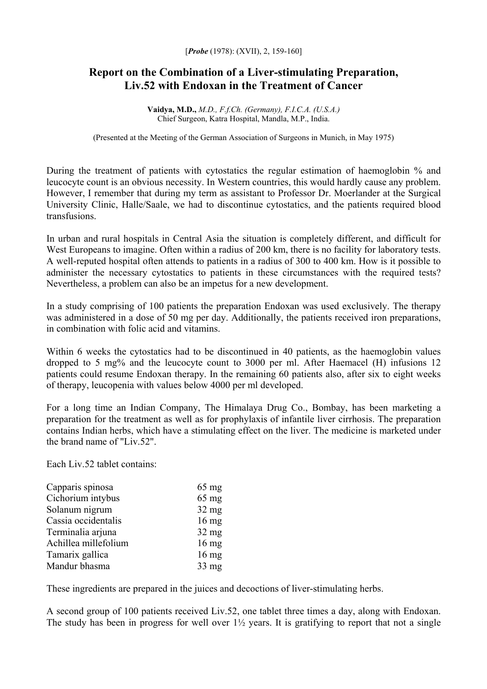## **Report on the Combination of a Liver-stimulating Preparation, Liv.52 with Endoxan in the Treatment of Cancer**

**Vaidya, M.D.,** *M.D., F.f.Ch. (Germany), F.I.C.A. (U.S.A.)* Chief Surgeon, Katra Hospital, Mandla, M.P., India.

(Presented at the Meeting of the German Association of Surgeons in Munich, in May 1975)

During the treatment of patients with cytostatics the regular estimation of haemoglobin % and leucocyte count is an obvious necessity. In Western countries, this would hardly cause any problem. However, I remember that during my term as assistant to Professor Dr. Moerlander at the Surgical University Clinic, Halle/Saale, we had to discontinue cytostatics, and the patients required blood transfusions.

In urban and rural hospitals in Central Asia the situation is completely different, and difficult for West Europeans to imagine. Often within a radius of 200 km, there is no facility for laboratory tests. A well-reputed hospital often attends to patients in a radius of 300 to 400 km. How is it possible to administer the necessary cytostatics to patients in these circumstances with the required tests? Nevertheless, a problem can also be an impetus for a new development.

In a study comprising of 100 patients the preparation Endoxan was used exclusively. The therapy was administered in a dose of 50 mg per day. Additionally, the patients received iron preparations, in combination with folic acid and vitamins.

Within 6 weeks the cytostatics had to be discontinued in 40 patients, as the haemoglobin values dropped to 5 mg% and the leucocyte count to 3000 per ml. After Haemacel (H) infusions 12 patients could resume Endoxan therapy. In the remaining 60 patients also, after six to eight weeks of therapy, leucopenia with values below 4000 per ml developed.

For a long time an Indian Company, The Himalaya Drug Co., Bombay, has been marketing a preparation for the treatment as well as for prophylaxis of infantile liver cirrhosis. The preparation contains Indian herbs, which have a stimulating effect on the liver. The medicine is marketed under the brand name of "Liv.52".

Each Liv. 52 tablet contains:

| $65 \text{ mg}$ |
|-----------------|
| $65 \text{ mg}$ |
| $32$ mg         |
| $16 \text{ mg}$ |
| $32 \text{ mg}$ |
| $16$ mg         |
| $16 \text{ mg}$ |
| $33 \text{ mg}$ |
|                 |

These ingredients are prepared in the juices and decoctions of liver-stimulating herbs.

A second group of 100 patients received Liv.52, one tablet three times a day, along with Endoxan. The study has been in progress for well over  $1\frac{1}{2}$  years. It is gratifying to report that not a single